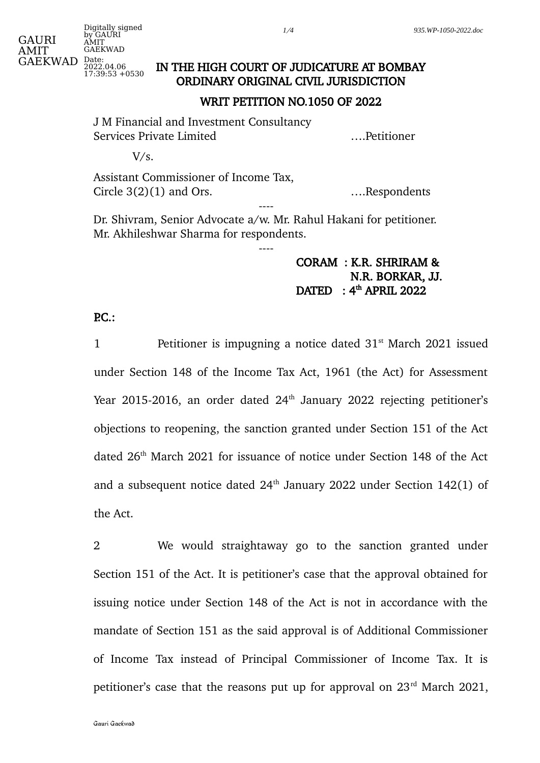## IN THE HIGH COURT OF JUDICATURE AT BOMBAY ORDINARY ORIGINAL CIVIL JURISDICTION

#### WRIT PETITION NO.1050 OF 2022

J M Financial and Investment Consultancy Services Private Limited ….Petitioner

 $V/s$ .

Assistant Commissioner of Income Tax, Circle 3(2)(1) and Ors. <br> **Example 3** (2)(1) and Ors. ----

Dr. Shivram, Senior Advocate a/w. Mr. Rahul Hakani for petitioner. Mr. Akhileshwar Sharma for respondents.

----

# CORAM : K.R. SHRIRAM & N.R. BORKAR, JJ.  $\rm{DATA}$  : 4<sup>th</sup> APRIL 2022

### $PC.$ :

1 **Petitioner is impugning a notice dated 31<sup>st</sup> March 2021 issued** under Section 148 of the Income Tax Act, 1961 (the Act) for Assessment Year 2015-2016, an order dated  $24<sup>th</sup>$  January 2022 rejecting petitioner's objections to reopening, the sanction granted under Section 151 of the Act dated 26<sup>th</sup> March 2021 for issuance of notice under Section 148 of the Act and a subsequent notice dated  $24<sup>th</sup>$  January 2022 under Section 142(1) of the Act.

2 We would straightaway go to the sanction granted under Section 151 of the Act. It is petitioner's case that the approval obtained for issuing notice under Section 148 of the Act is not in accordance with the mandate of Section 151 as the said approval is of Additional Commissioner of Income Tax instead of Principal Commissioner of Income Tax. It is petitioner's case that the reasons put up for approval on  $23<sup>rd</sup>$  March 2021,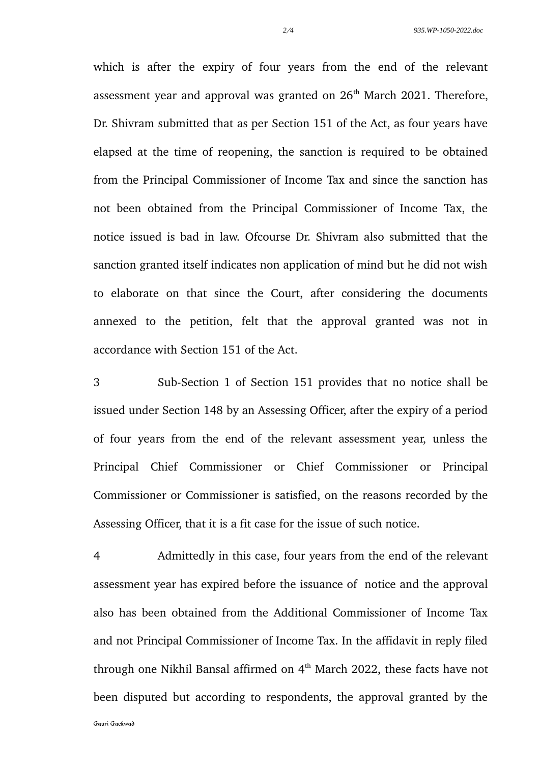which is after the expiry of four years from the end of the relevant assessment year and approval was granted on  $26<sup>th</sup>$  March 2021. Therefore, Dr. Shivram submitted that as per Section 151 of the Act, as four years have elapsed at the time of reopening, the sanction is required to be obtained from the Principal Commissioner of Income Tax and since the sanction has not been obtained from the Principal Commissioner of Income Tax, the notice issued is bad in law. Ofcourse Dr. Shivram also submitted that the sanction granted itself indicates non application of mind but he did not wish to elaborate on that since the Court, after considering the documents annexed to the petition, felt that the approval granted was not in accordance with Section 151 of the Act.

3 Sub-Section 1 of Section 151 provides that no notice shall be issued under Section 148 by an Assessing Officer, after the expiry of a period of four years from the end of the relevant assessment year, unless the Principal Chief Commissioner or Chief Commissioner or Principal Commissioner or Commissioner is satisfied, on the reasons recorded by the Assessing Officer, that it is a fit case for the issue of such notice.

4 Admittedly in this case, four years from the end of the relevant assessment year has expired before the issuance of notice and the approval also has been obtained from the Additional Commissioner of Income Tax and not Principal Commissioner of Income Tax. In the affidavit in reply filed through one Nikhil Bansal affirmed on  $4<sup>th</sup>$  March 2022, these facts have not been disputed but according to respondents, the approval granted by the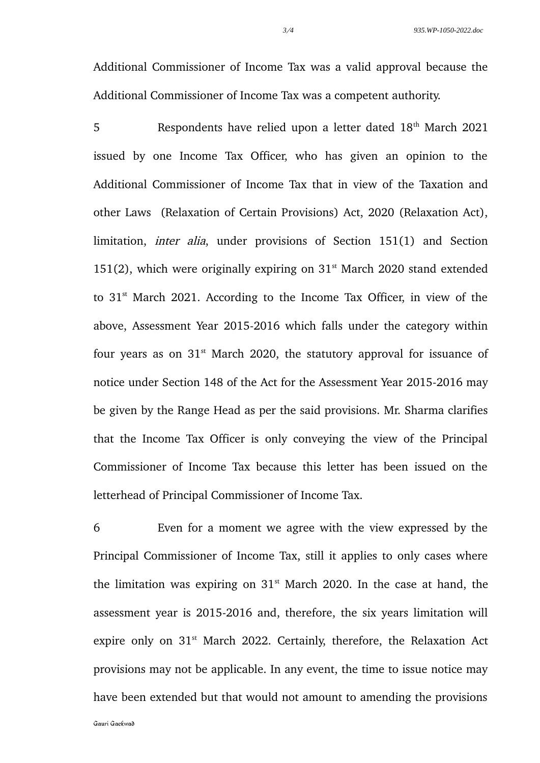Additional Commissioner of Income Tax was a valid approval because the Additional Commissioner of Income Tax was a competent authority.

5 Respondents have relied upon a letter dated 18<sup>th</sup> March 2021 issued by one Income Tax Officer, who has given an opinion to the Additional Commissioner of Income Tax that in view of the Taxation and other Laws (Relaxation of Certain Provisions) Act, 2020 (Relaxation Act), limitation, inter alia, under provisions of Section 151(1) and Section 151(2), which were originally expiring on  $31<sup>st</sup>$  March 2020 stand extended to  $31<sup>st</sup>$  March 2021. According to the Income Tax Officer, in view of the above, Assessment Year 2015-2016 which falls under the category within four years as on  $31<sup>st</sup>$  March 2020, the statutory approval for issuance of notice under Section 148 of the Act for the Assessment Year 2015-2016 may be given by the Range Head as per the said provisions. Mr. Sharma clarifies that the Income Tax Officer is only conveying the view of the Principal Commissioner of Income Tax because this letter has been issued on the letterhead of Principal Commissioner of Income Tax.

6 Even for a moment we agree with the view expressed by the Principal Commissioner of Income Tax, still it applies to only cases where the limitation was expiring on  $31<sup>st</sup>$  March 2020. In the case at hand, the assessment year is 2015-2016 and, therefore, the six years limitation will expire only on  $31<sup>st</sup>$  March 2022. Certainly, therefore, the Relaxation Act provisions may not be applicable. In any event, the time to issue notice may have been extended but that would not amount to amending the provisions